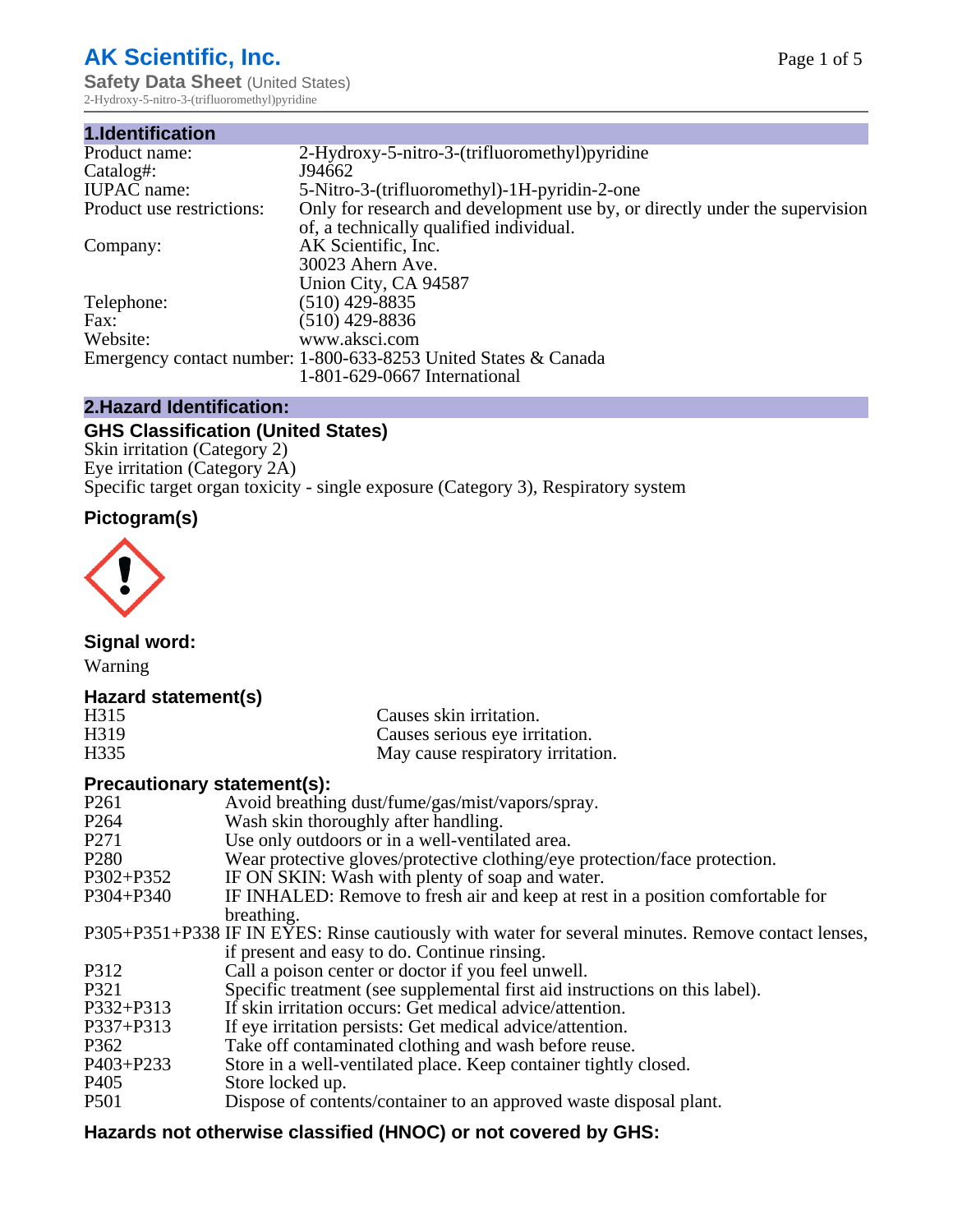# **AK Scientific, Inc.**

**Safety Data Sheet (United States)** 2-Hydroxy-5-nitro-3-(trifluoromethyl)pyridine

| 1.Identification          |                                                                             |
|---------------------------|-----------------------------------------------------------------------------|
| Product name:             | 2-Hydroxy-5-nitro-3-(trifluoromethyl) pyridine                              |
| Catalog#:                 | J94662                                                                      |
| <b>IUPAC</b> name:        | 5-Nitro-3-(trifluoromethyl)-1H-pyridin-2-one                                |
| Product use restrictions: | Only for research and development use by, or directly under the supervision |
|                           | of, a technically qualified individual.                                     |
| Company:                  | AK Scientific, Inc.                                                         |
|                           | 30023 Ahern Ave.                                                            |
|                           | Union City, CA 94587                                                        |
| Telephone:                | $(510)$ 429-8835                                                            |
| Fax:                      | (510) 429-8836                                                              |
| Website:                  | www.aksci.com                                                               |
|                           | Emergency contact number: 1-800-633-8253 United States & Canada             |
|                           | 1-801-629-0667 International                                                |

# **2.Hazard Identification:**

# **GHS Classification (United States)**

Skin irritation (Category 2) Eye irritation (Category 2A) Specific target organ toxicity - single exposure (Category 3), Respiratory system

# **Pictogram(s)**



**Signal word:**

Warning

# **Hazard statement(s)**

| H <sub>315</sub>  | Causes skin irritation.           |
|-------------------|-----------------------------------|
| H <sub>3</sub> 19 | Causes serious eye irritation.    |
| H335              | May cause respiratory irritation. |

#### **Precautionary statement(s):**

| P <sub>261</sub> | Avoid breathing dust/fume/gas/mist/vapors/spray.                                                   |
|------------------|----------------------------------------------------------------------------------------------------|
| P <sub>264</sub> | Wash skin thoroughly after handling.                                                               |
| P <sub>271</sub> | Use only outdoors or in a well-ventilated area.                                                    |
| P <sub>280</sub> | Wear protective gloves/protective clothing/eye protection/face protection.                         |
| P302+P352        | IF ON SKIN: Wash with plenty of soap and water.                                                    |
| $P304 + P340$    | IF INHALED: Remove to fresh air and keep at rest in a position comfortable for                     |
|                  | breathing.                                                                                         |
|                  | P305+P351+P338 IF IN EYES: Rinse cautiously with water for several minutes. Remove contact lenses, |
|                  | if present and easy to do. Continue rinsing.                                                       |
| P312             | Call a poison center or doctor if you feel unwell.                                                 |
| P321             | Specific treatment (see supplemental first aid instructions on this label).                        |
| P332+P313        | If skin irritation occurs: Get medical advice/attention.                                           |
| P337+P313        | If eye irritation persists: Get medical advice/attention.                                          |
| P362             | Take off contaminated clothing and wash before reuse.                                              |
| P403+P233        | Store in a well-ventilated place. Keep container tightly closed.                                   |
| P <sub>405</sub> | Store locked up.                                                                                   |
| P <sub>501</sub> | Dispose of contents/container to an approved waste disposal plant.                                 |
|                  |                                                                                                    |

# **Hazards not otherwise classified (HNOC) or not covered by GHS:**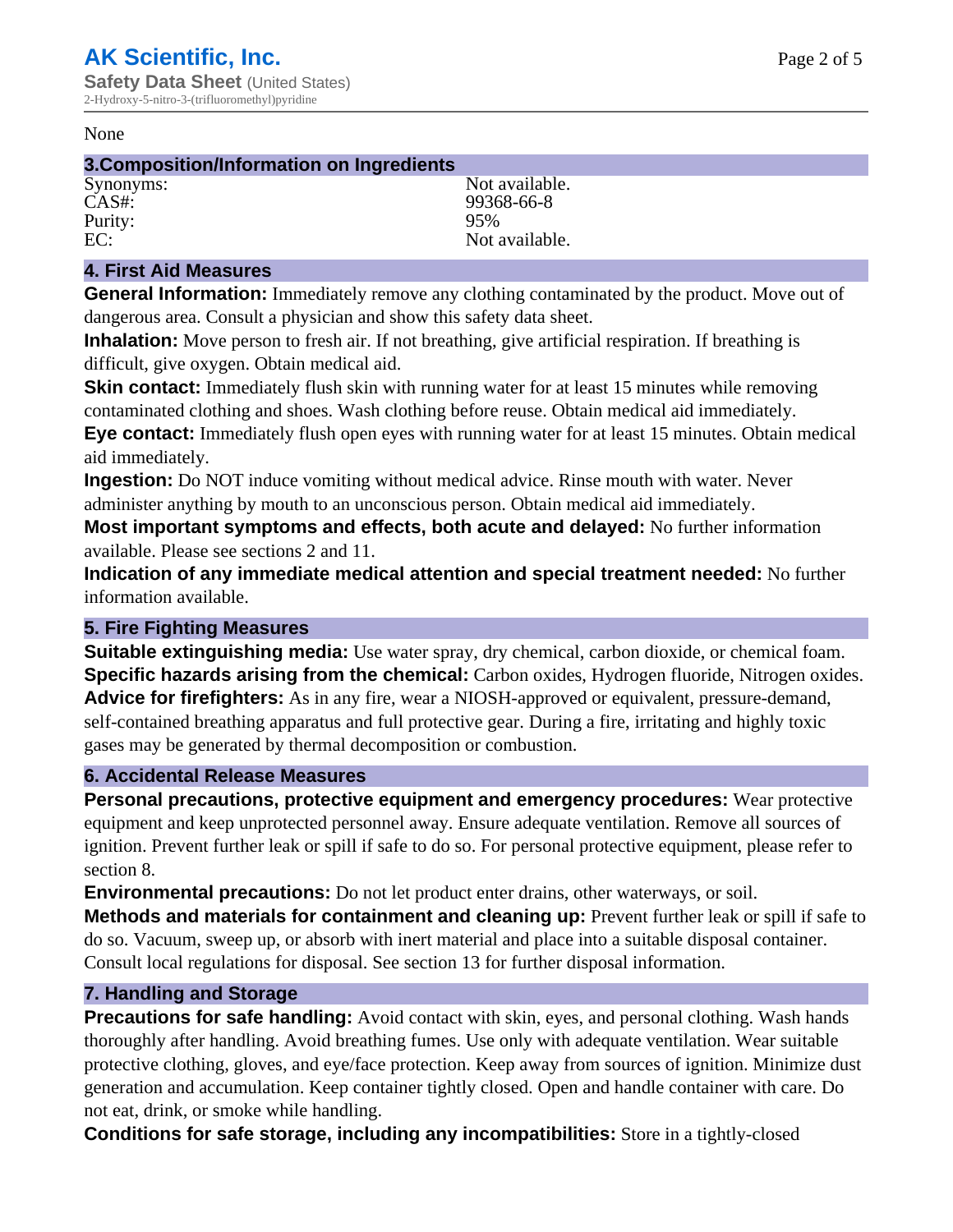#### None

#### **3.Composition/Information on Ingredients**

Purity:<br>EC:

Synonyms: Not available. CAS#: 99368-66-8<br>Purity: 95% 99368-66-8 Not available.

### **4. First Aid Measures**

**General Information:** Immediately remove any clothing contaminated by the product. Move out of dangerous area. Consult a physician and show this safety data sheet.

**Inhalation:** Move person to fresh air. If not breathing, give artificial respiration. If breathing is difficult, give oxygen. Obtain medical aid.

**Skin contact:** Immediately flush skin with running water for at least 15 minutes while removing contaminated clothing and shoes. Wash clothing before reuse. Obtain medical aid immediately. **Eye contact:** Immediately flush open eyes with running water for at least 15 minutes. Obtain medical aid immediately.

**Ingestion:** Do NOT induce vomiting without medical advice. Rinse mouth with water. Never administer anything by mouth to an unconscious person. Obtain medical aid immediately.

**Most important symptoms and effects, both acute and delayed:** No further information available. Please see sections 2 and 11.

**Indication of any immediate medical attention and special treatment needed:** No further information available.

#### **5. Fire Fighting Measures**

**Suitable extinguishing media:** Use water spray, dry chemical, carbon dioxide, or chemical foam. **Specific hazards arising from the chemical:** Carbon oxides, Hydrogen fluoride, Nitrogen oxides. **Advice for firefighters:** As in any fire, wear a NIOSH-approved or equivalent, pressure-demand, self-contained breathing apparatus and full protective gear. During a fire, irritating and highly toxic gases may be generated by thermal decomposition or combustion.

#### **6. Accidental Release Measures**

**Personal precautions, protective equipment and emergency procedures:** Wear protective equipment and keep unprotected personnel away. Ensure adequate ventilation. Remove all sources of ignition. Prevent further leak or spill if safe to do so. For personal protective equipment, please refer to section 8.

**Environmental precautions:** Do not let product enter drains, other waterways, or soil.

**Methods and materials for containment and cleaning up:** Prevent further leak or spill if safe to do so. Vacuum, sweep up, or absorb with inert material and place into a suitable disposal container. Consult local regulations for disposal. See section 13 for further disposal information.

#### **7. Handling and Storage**

**Precautions for safe handling:** Avoid contact with skin, eyes, and personal clothing. Wash hands thoroughly after handling. Avoid breathing fumes. Use only with adequate ventilation. Wear suitable protective clothing, gloves, and eye/face protection. Keep away from sources of ignition. Minimize dust generation and accumulation. Keep container tightly closed. Open and handle container with care. Do not eat, drink, or smoke while handling.

**Conditions for safe storage, including any incompatibilities:** Store in a tightly-closed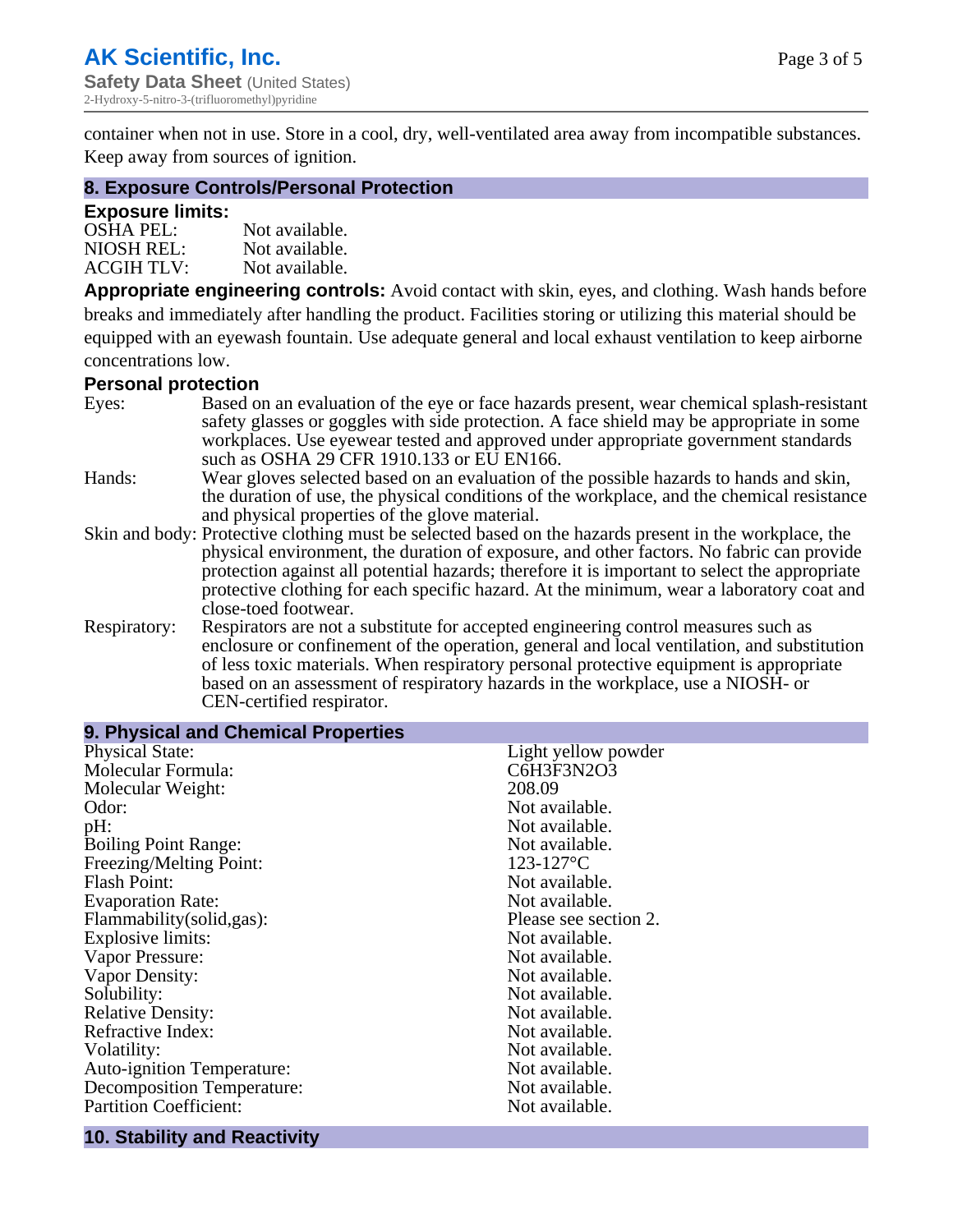container when not in use. Store in a cool, dry, well-ventilated area away from incompatible substances. Keep away from sources of ignition.

#### **8. Exposure Controls/Personal Protection**

#### **Exposure limits:**

| <b>OSHA PEL:</b>  | Not available. |
|-------------------|----------------|
| NIOSH REL:        | Not available. |
| <b>ACGIH TLV:</b> | Not available. |

**Appropriate engineering controls:** Avoid contact with skin, eyes, and clothing. Wash hands before breaks and immediately after handling the product. Facilities storing or utilizing this material should be equipped with an eyewash fountain. Use adequate general and local exhaust ventilation to keep airborne concentrations low.

#### **Personal protection**

| Eyes:        | Based on an evaluation of the eye or face hazards present, wear chemical splash-resistant<br>safety glasses or goggles with side protection. A face shield may be appropriate in some |
|--------------|---------------------------------------------------------------------------------------------------------------------------------------------------------------------------------------|
|              | workplaces. Use eyewear tested and approved under appropriate government standards<br>such as OSHA 29 CFR 1910.133 or EU EN166.                                                       |
| Hands:       | Wear gloves selected based on an evaluation of the possible hazards to hands and skin,                                                                                                |
|              | the duration of use, the physical conditions of the workplace, and the chemical resistance                                                                                            |
|              | and physical properties of the glove material.                                                                                                                                        |
|              | Skin and body: Protective clothing must be selected based on the hazards present in the workplace, the                                                                                |
|              | physical environment, the duration of exposure, and other factors. No fabric can provide                                                                                              |
|              | protection against all potential hazards; therefore it is important to select the appropriate                                                                                         |
|              | protective clothing for each specific hazard. At the minimum, wear a laboratory coat and                                                                                              |
|              | close-toed footwear.                                                                                                                                                                  |
| Respiratory: | Respirators are not a substitute for accepted engineering control measures such as<br>enclosure or confinement of the operation, general and local ventilation, and substitution      |
|              | of less toxic materials. When respiratory personal protective equipment is appropriate                                                                                                |
|              | based on an assessment of respiratory hazards in the workplace, use a NIOSH- or                                                                                                       |
|              | CEN-certified respirator.                                                                                                                                                             |

| 9. Physical and Chemical Properties |                       |
|-------------------------------------|-----------------------|
| <b>Physical State:</b>              | Light yellow powder   |
| Molecular Formula:                  | C6H3F3N2O3            |
| Molecular Weight:                   | 208.09                |
| Odor:                               | Not available.        |
| pH:                                 | Not available.        |
| <b>Boiling Point Range:</b>         | Not available.        |
| Freezing/Melting Point:             | $123 - 127$ °C        |
| <b>Flash Point:</b>                 | Not available.        |
| <b>Evaporation Rate:</b>            | Not available.        |
| Flammability(solid,gas):            | Please see section 2. |
| <b>Explosive limits:</b>            | Not available.        |
| Vapor Pressure:                     | Not available.        |
| Vapor Density:                      | Not available.        |
| Solubility:                         | Not available.        |
| <b>Relative Density:</b>            | Not available.        |
| Refractive Index:                   | Not available.        |
| Volatility:                         | Not available.        |
| <b>Auto-ignition Temperature:</b>   | Not available.        |
| <b>Decomposition Temperature:</b>   | Not available.        |
| <b>Partition Coefficient:</b>       | Not available.        |
|                                     |                       |

# **10. Stability and Reactivity**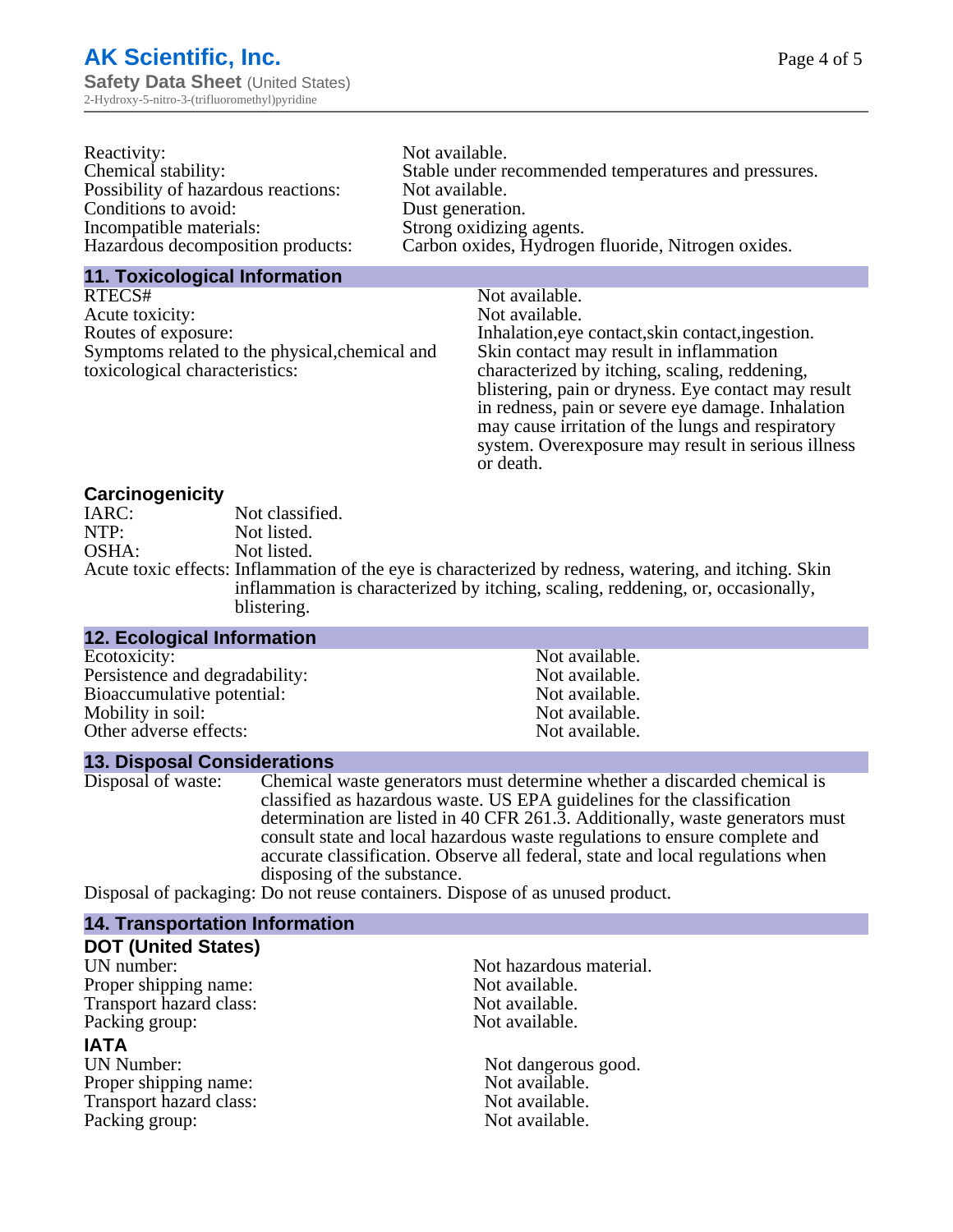| Reactivity:                         | Not available.                                       |
|-------------------------------------|------------------------------------------------------|
| Chemical stability:                 | Stable under recommended temperatures and pressures. |
| Possibility of hazardous reactions: | Not available.                                       |
| Conditions to avoid:                | Dust generation.                                     |
| Incompatible materials:             | Strong oxidizing agents.                             |
| Hazardous decomposition products:   | Carbon oxides, Hydrogen fluoride, Nitrogen oxides.   |

#### **11. Toxicological Information**

| RTECS#                                         | Not available.                                      |
|------------------------------------------------|-----------------------------------------------------|
| Acute toxicity:                                | Not available.                                      |
| Routes of exposure:                            | Inhalation, eye contact, skin contact, ingestion.   |
| Symptoms related to the physical, chemical and | Skin contact may result in inflammation             |
| toxicological characteristics:                 | characterized by itching, scaling, reddening,       |
|                                                | blistering, pain or dryness. Eye contact may result |
|                                                | in redness, pain or severe eye damage. Inhalation   |
|                                                | may cause irritation of the lungs and respiratory   |
|                                                | system. Overexposure may result in serious illness  |

or death.

#### **Carcinogenicity**

| IARC: | Not classified.                                                                                       |
|-------|-------------------------------------------------------------------------------------------------------|
| NTP:  | Not listed.                                                                                           |
| OSHA: | Not listed.                                                                                           |
|       | Acute toxic effects: Inflammation of the eye is characterized by redness, watering, and itching. Skin |
|       | inflammation is characterized by itching, scaling, reddening, or, occasionally,                       |
|       | blistering.                                                                                           |

| <b>12. Ecological Information</b> |                |  |
|-----------------------------------|----------------|--|
| Ecotoxicity:                      | Not available. |  |
| Persistence and degradability:    | Not available. |  |
| Bioaccumulative potential:        | Not available. |  |
| Mobility in soil:                 | Not available. |  |
| Other adverse effects:            | Not available. |  |
|                                   |                |  |

#### **13. Disposal Considerations**

Disposal of waste: Chemical waste generators must determine whether a discarded chemical is classified as hazardous waste. US EPA guidelines for the classification determination are listed in 40 CFR 261.3. Additionally, waste generators must consult state and local hazardous waste regulations to ensure complete and accurate classification. Observe all federal, state and local regulations when disposing of the substance.

Disposal of packaging: Do not reuse containers. Dispose of as unused product.

| <b>14. Transportation Information</b> |                         |  |
|---------------------------------------|-------------------------|--|
| <b>DOT (United States)</b>            |                         |  |
| UN number:                            | Not hazardous material. |  |
| Proper shipping name:                 | Not available.          |  |
| Transport hazard class:               | Not available.          |  |
| Packing group:                        | Not available.          |  |
| <b>IATA</b>                           |                         |  |
| <b>UN Number:</b>                     | Not dangerous good.     |  |
| Proper shipping name:                 | Not available.          |  |
| Transport hazard class:               | Not available.          |  |
| Packing group:                        | Not available.          |  |
|                                       |                         |  |